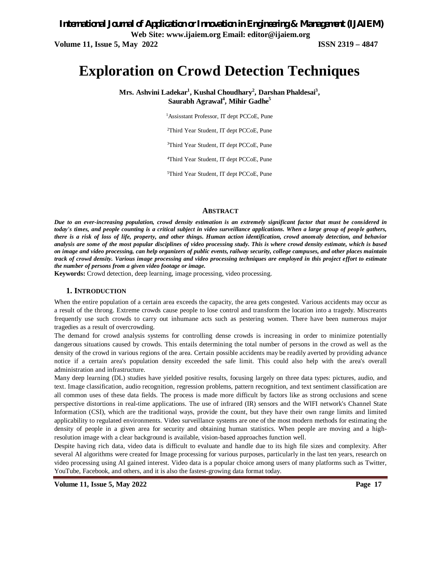### *International Journal of Application or Innovation in Engineering & Management (IJAIEM)* **Web Site: www.ijaiem.org Email: editor@ijaiem.org Volume 11, Issue 5, May 2022 ISSN 2319 – 4847**

# **Exploration on Crowd Detection Techniques**

**Mrs. Ashvini Ladekar<sup>1</sup> , Kushal Choudhary<sup>2</sup> , Darshan Phaldesai<sup>3</sup> , Saurabh Agrawal<sup>4</sup> , Mihir Gadhe<sup>5</sup>**

<sup>1</sup>Assisstant Professor, IT dept PCCoE, Pune

<sup>2</sup>Third Year Student, IT dept PCCoE, Pune

<sup>3</sup>Third Year Student, IT dept PCCoE, Pune

<sup>4</sup>Third Year Student, IT dept PCCoE, Pune

5Third Year Student, IT dept PCCoE, Pune

#### **ABSTRACT**

*Due to an ever-increasing population, crowd density estimation is an extremely significant factor that must be considered in today's times, and people counting is a critical subject in video surveillance applications. When a large group of people gathers, there is a risk of loss of life, property, and other things. Human action identification, crowd anomaly detection, and behavior analysis are some of the most popular disciplines of video processing study. This is where crowd density estimate, which is based on image and video processing, can help organizers of public events, railway security, college campuses, and other places maintain track of crowd density. Various image processing and video processing techniques are employed in this project effort to estimate the number of persons from a given video footage or image.*

**Keywords:** Crowd detection, deep learning, image processing, video processing.

#### **1. INTRODUCTION**

When the entire population of a certain area exceeds the capacity, the area gets congested. Various accidents may occur as a result of the throng. Extreme crowds cause people to lose control and transform the location into a tragedy. Miscreants frequently use such crowds to carry out inhumane acts such as pestering women. There have been numerous major tragedies as a result of overcrowding.

The demand for crowd analysis systems for controlling dense crowds is increasing in order to minimize potentially dangerous situations caused by crowds. This entails determining the total number of persons in the crowd as well as the density of the crowd in various regions of the area. Certain possible accidents may be readily averted by providing advance notice if a certain area's population density exceeded the safe limit. This could also help with the area's overall administration and infrastructure.

Many deep learning (DL) studies have yielded positive results, focusing largely on three data types: pictures, audio, and text. Image classification, audio recognition, regression problems, pattern recognition, and text sentiment classification are all common uses of these data fields. The process is made more difficult by factors like as strong occlusions and scene perspective distortions in real-time applications. The use of infrared (IR) sensors and the WIFI network's Channel State Information (CSI), which are the traditional ways, provide the count, but they have their own range limits and limited applicability to regulated environments. Video surveillance systems are one of the most modern methods for estimating the density of people in a given area for security and obtaining human statistics. When people are moving and a highresolution image with a clear background is available, vision-based approaches function well.

Despite having rich data, video data is difficult to evaluate and handle due to its high file sizes and complexity. After several AI algorithms were created for Image processing for various purposes, particularly in the last ten years, research on video processing using AI gained interest. Video data is a popular choice among users of many platforms such as Twitter, YouTube, Facebook, and others, and it is also the fastest-growing data format today.

**Volume 11, Issue 5, May 2022 Page 17**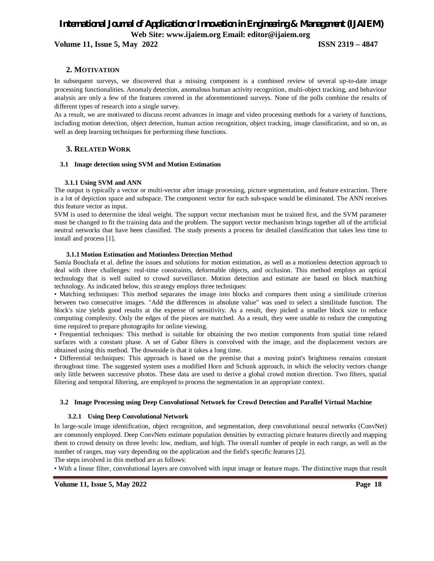**Volume 11, Issue 5, May 2022 ISSN 2319 – 4847**

#### **2. MOTIVATION**

In subsequent surveys, we discovered that a missing component is a combined review of several up-to-date image processing functionalities. Anomaly detection, anomalous human activity recognition, multi-object tracking, and behaviour analysis are only a few of the features covered in the aforementioned surveys. None of the polls combine the results of different types of research into a single survey.

As a result, we are motivated to discuss recent advances in image and video processing methods for a variety of functions, including motion detection, object detection, human action recognition, object tracking, image classification, and so on, as well as deep learning techniques for performing these functions.

#### **3. RELATED WORK**

#### **3.1 Image detection using SVM and Motion Estimation**

#### **3.1.1 Using SVM and ANN**

The output is typically a vector or multi-vector after image processing, picture segmentation, and feature extraction. There is a lot of depiction space and subspace. The component vector for each sub-space would be eliminated. The ANN receives this feature vector as input.

SVM is used to determine the ideal weight. The support vector mechanism must be trained first, and the SVM parameter must be changed to fit the training data and the problem. The support vector mechanism brings together all of the artificial neutral networks that have been classified. The study presents a process for detailed classification that takes less time to install and process [1].

#### **3.1.1 Motion Estimation and Motionless Detection Method**

Samia Bouchafa et al. define the issues and solutions for motion estimation, as well as a motionless detection approach to deal with three challenges: real-time constraints, deformable objects, and occlusion. This method employs an optical technology that is well suited to crowd surveillance. Motion detection and estimate are based on block matching technology. As indicated below, this strategy employs three techniques:

• Matching techniques: This method separates the image into blocks and compares them using a similitude criterion between two consecutive images. "Add the differences in absolute value" was used to select a similitude function. The block's size yields good results at the expense of sensitivity. As a result, they picked a smaller block size to reduce computing complexity. Only the edges of the pieces are matched. As a result, they were unable to reduce the computing time required to prepare photographs for online viewing.

• Frequential techniques: This method is suitable for obtaining the two motion components from spatial time related surfaces with a constant phase. A set of Gabor filters is convolved with the image, and the displacement vectors are obtained using this method. The downside is that it takes a long time.

• Differential techniques: This approach is based on the premise that a moving point's brightness remains constant throughout time. The suggested system uses a modified Horn and Schunk approach, in which the velocity vectors change only little between successive photos. These data are used to derive a global crowd motion direction. Two filters, spatial filtering and temporal filtering, are employed to process the segmentation in an appropriate context.

#### **3.2 Image Processing using Deep Convolutional Network for Crowd Detection and Parallel Virtual Machine**

#### **3.2.1 Using Deep Convolutional Network**

In large-scale image identification, object recognition, and segmentation, deep convolutional neural networks (ConvNet) are commonly employed. Deep ConvNets estimate population densities by extracting picture features directly and mapping them to crowd density on three levels: low, medium, and high. The overall number of people in each range, as well as the number of ranges, may vary depending on the application and the field's specific features [2].

The steps involved in this method are as follows:

• With a linear filter, convolutional layers are convolved with input image or feature maps. The distinctive maps that result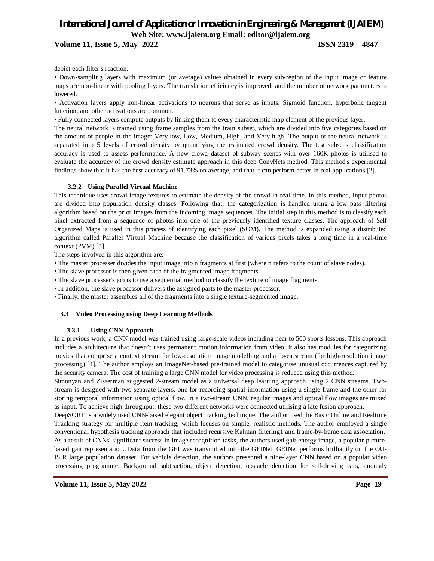#### **Volume 11, Issue 5, May 2022 ISSN 2319 – 4847**

depict each filter's reaction.

• Down-sampling layers with maximum (or average) values obtained in every sub-region of the input image or feature maps are non-linear with pooling layers. The translation efficiency is improved, and the number of network parameters is lowered.

• Activation layers apply non-linear activations to neurons that serve as inputs. Sigmoid function, hyperbolic tangent function, and other activations are common.

• Fully-connected layers compute outputs by linking them to every characteristic map element of the previous layer.

The neural network is trained using frame samples from the train subset, which are divided into five categories based on the amount of people in the image: Very-low, Low, Medium, High, and Very-high. The output of the neural network is separated into 5 levels of crowd density by quantifying the estimated crowd density. The test subset's classification accuracy is used to assess performance. A new crowd dataset of subway scenes with over 160K photos is utilised to evaluate the accuracy of the crowd density estimate approach in this deep ConvNets method. This method's experimental findings show that it has the best accuracy of 91.73% on average, and that it can perform better in real applications [2].

#### **3.2.2 Using Parallel Virtual Machine**

This technique uses crowd image textures to estimate the density of the crowd in real time. In this method, input photos are divided into population density classes. Following that, the categorization is handled using a low pass filtering algorithm based on the prior images from the incoming image sequences. The initial step in this method is to classify each pixel extracted from a sequence of photos into one of the previously identified texture classes. The approach of Self Organized Maps is used in this process of identifying each pixel (SOM). The method is expanded using a distributed algorithm called Parallel Virtual Machine because the classification of various pixels takes a long time in a real-time context (PVM) [3].

The steps involved in this algorithm are:

- The master processer divides the input image into n fragments at first (where n refers to the count of slave nodes).
- The slave processor is then given each of the fragmented image fragments.
- The slave processer's job is to use a sequential method to classify the texture of image fragments.
- In addition, the slave processor delivers the assigned parts to the master processor.
- Finally, the master assembles all of the fragments into a single texture-segmented image.

#### **3.3 Video Processing using Deep Learning Methods**

#### **3.3.1 Using CNN Approach**

In a previous work, a CNN model was trained using large-scale videos including near to 500 sports lessons. This approach includes a architecture that doesn't uses permanent motion information from video. It also has modules for categorizing movies that comprise a context stream for low-resolution image modelling and a fovea stream (for high-resolution image processing) [4]. The author employs an ImageNet-based pre-trained model to categorise unusual occurrences captured by the security camera. The cost of training a large CNN model for video processing is reduced using this method.

Simonyan and Zisserman suggested 2-stream model as a universal deep learning approach using 2 CNN streams. Twostream is designed with two separate layers, one for recording spatial information using a single frame and the other for storing temporal information using optical flow. In a two-stream CNN, regular images and optical flow images are mixed as input. To achieve high throughput, these two different networks were connected utilising a late fusion approach.

DeepSORT is a widely used CNN-based elegant object tracking technique. The author used the Basic Online and Realtime Tracking strategy for multiple item tracking, which focuses on simple, realistic methods. The author employed a single conventional hypothesis tracking approach that included recursive Kalman filtering1 and frame-by-frame data association. As a result of CNNs' significant success in image recognition tasks, the authors used gait energy image, a popular picturebased gait representation. Data from the GEI was transmitted into the GEINet. GEINet performs brilliantly on the OU-ISIR large population dataset. For vehicle detection, the authors presented a nine-layer CNN based on a popular video processing programme. Background subtraction, object detection, obstacle detection for self-driving cars, anomaly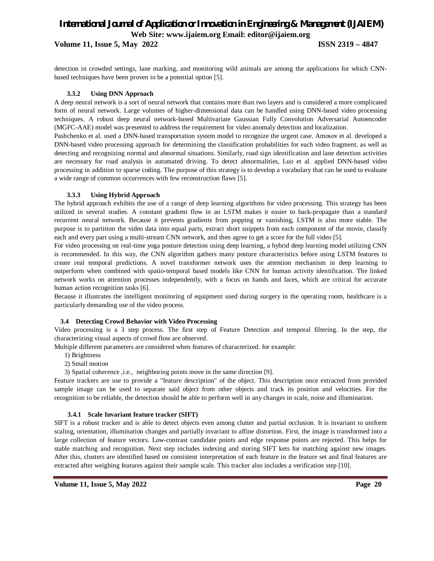**Volume 11, Issue 5, May 2022 ISSN 2319 – 4847**

detection in crowded settings, lane marking, and monitoring wild animals are among the applications for which CNNbased techniques have been proven to be a potential option [5].

#### **3.3.2 Using DNN Approach**

A deep neural network is a sort of neural network that contains more than two layers and is considered a more complicated form of neural network. Large volumes of higher-dimensional data can be handled using DNN-based video processing techniques. A robust deep neural network-based Multivariate Gaussian Fully Convolution Adversarial Autoencoder (MGFC-AAE) model was presented to address the requirement for video anomaly detection and localization.

Pashchenko et al. used a DNN-based transportation system model to recognize the urgent case. Amosov et al. developed a DNN-based video processing approach for determining the classification probabilities for each video fragment, as well as detecting and recognizing normal and abnormal situations. Similarly, road sign identification and lane detection activities are necessary for road analysis in automated driving. To detect abnormalities, Luo et al. applied DNN-based video processing in addition to sparse coding. The purpose of this strategy is to develop a vocabulary that can be used to evaluate a wide range of common occurrences with few reconstruction flaws [5].

#### **3.3.3 Using Hybrid Approach**

The hybrid approach exhibits the use of a range of deep learning algorithms for video processing. This strategy has been utilized in several studies. A constant gradient flow in an LSTM makes it easier to back-propagate than a standard recurrent neural network. Because it prevents gradients from popping or vanishing, LSTM is also more stable. The purpose is to partition the video data into equal parts, extract short snippets from each component of the movie, classify each and every part using a multi-stream CNN network, and then agree to get a score for the full video [5].

For video processing on real-time yoga posture detection using deep learning, a hybrid deep learning model utilizing CNN is recommended. In this way, the CNN algorithm gathers many posture characteristics before using LSTM features to create real temporal predictions. A novel transformer network uses the attention mechanism in deep learning to outperform when combined with spatio-temporal based models like CNN for human activity identification. The linked network works on attention processes independently, with a focus on hands and faces, which are critical for accurate human action recognition tasks [6].

Because it illustrates the intelligent monitoring of equipment used during surgery in the operating room, healthcare is a particularly demanding use of the video process.

#### **3.4 Detecting Crowd Behavior with Video Processing**

Video processing is a 3 step process. The first step of Feature Detection and temporal filtering. In the step, the characterizing visual aspects of crowd flow are observed.

Multiple different parameters are considered when features of characterized. for example:

- 1) Brightness
- 2) Small motion
- 3) Spatial coherence ,i.e., neighboring points move in the same direction [9].

Feature trackers are use to provide a "feature description" of the object. This description once extracted from provided sample image can be used to separate said object from other objects and track its position and velocities. For the recognition to be reliable, the detection should be able to perform well in any changes in scale, noise and illumination.

#### **3.4.1 Scale Invariant feature tracker (SIFT)**

SIFT is a robust tracker and is able to detect objects even among clutter and partial occlusion. It is invariant to uniform scaling, orientation, illumination changes and partially invariant to affine distortion. First, the image is transformed into a large collection of feature vectors. Low-contrast candidate points and edge response points are rejected. This helps for stable matching and recognition. Next step includes indexing and storing SIFT kets for matching against new images. After this, clusters are identified based on consistent interpretation of each feature in the feature set and final features are extracted after weighing features against their sample scale. This tracker also includes a verification step [10].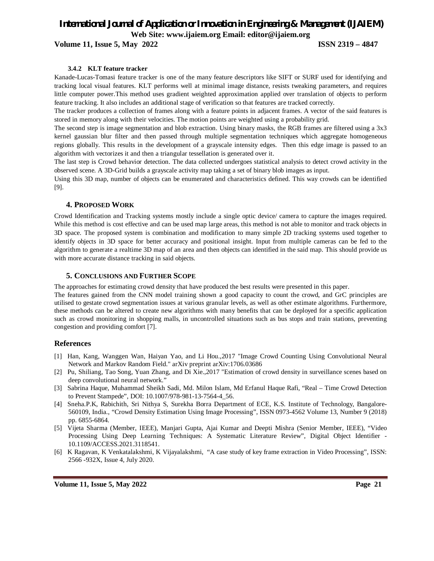#### **Volume 11, Issue 5, May 2022 ISSN 2319 – 4847**

#### **3.4.2 KLT feature tracker**

Kanade-Lucas-Tomasi feature tracker is one of the many feature descriptors like SIFT or SURF used for identifying and tracking local visual features. KLT performs well at minimal image distance, resists tweaking parameters, and requires little computer power.This method uses gradient weighted approximation applied over translation of objects to perform feature tracking. It also includes an additional stage of verification so that features are tracked correctly.

The tracker produces a collection of frames along with a feature points in adjacent frames. A vector of the said features is stored in memory along with their velocities. The motion points are weighted using a probability grid.

The second step is image segmentation and blob extraction. Using binary masks, the RGB frames are filtered using a 3x3 kernel gaussian blur filter and then passed through multiple segmentation techniques which aggregate homogeneous regions globally. This results in the development of a grayscale intensity edges. Then this edge image is passed to an algorithm with vectorizes it and then a triangular tessellation is generated over it.

The last step is Crowd behavior detection. The data collected undergoes statistical analysis to detect crowd activity in the observed scene. A 3D-Grid builds a grayscale activity map taking a set of binary blob images as input.

Using this 3D map, number of objects can be enumerated and characteristics defined. This way crowds can be identified [9].

#### **4. PROPOSED WORK**

Crowd Identification and Tracking systems mostly include a single optic device/ camera to capture the images required. While this method is cost effective and can be used map large areas, this method is not able to monitor and track objects in 3D space. The proposed system is combination and modification to many simple 2D tracking systems used together to identify objects in 3D space for better accuracy and positional insight. Input from multiple cameras can be fed to the algorithm to generate a realtime 3D map of an area and then objects can identified in the said map. This should provide us with more accurate distance tracking in said objects.

#### **5. CONCLUSIONS AND FURTHER SCOPE**

The approaches for estimating crowd density that have produced the best results were presented in this paper.

The features gained from the CNN model training shown a good capacity to count the crowd, and GrC principles are utilised to gestate crowd segmentation issues at various granular levels, as well as other estimate algorithms. Furthermore, these methods can be altered to create new algorithms with many benefits that can be deployed for a specific application such as crowd monitoring in shopping malls, in uncontrolled situations such as bus stops and train stations, preventing congestion and providing comfort [7].

#### **References**

- [1] Han, Kang, Wanggen Wan, Haiyan Yao, and Li Hou.,2017 "Image Crowd Counting Using Convolutional Neural Network and Markov Random Field." arXiv preprint arXiv:1706.03686
- [2] Pu, Shiliang, Tao Song, Yuan Zhang, and Di Xie.,2017 "Estimation of crowd density in surveillance scenes based on deep convolutional neural network."
- [3] Sabrina Haque, Muhammad Sheikh Sadi, Md. Milon Islam, Md Erfanul Haque Rafi, "Real Time Crowd Detection to Prevent Stampede", DOI: 10.1007/978-981-13-7564-4\_56.
- [4] Sneha.P.K, Rabichith, Sri Nithya S, Surekha Borra Department of ECE, K.S. Institute of Technology, Bangalore-560109, India., "Crowd Density Estimation Using Image Processing", ISSN 0973-4562 Volume 13, Number 9 (2018) pp. 6855-6864.
- [5] Vijeta Sharma (Member, IEEE), Manjari Gupta, Ajai Kumar and Deepti Mishra (Senior Member, IEEE), "Video Processing Using Deep Learning Techniques: A Systematic Literature Review", Digital Object Identifier - 10.1109/ACCESS.2021.3118541.
- [6] K Ragavan, K Venkatalakshmi, K Vijayalakshmi, "A case study of key frame extraction in Video Processing", ISSN: 2566 -932X, Issue 4, July 2020.